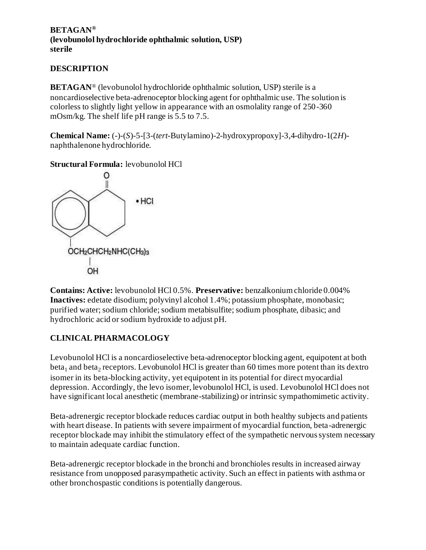#### **BETAGAN® (levobunolol hydrochloride ophthalmic solution, USP) sterile**

# **DESCRIPTION**

**BETAGAN**® (levobunolol hydrochloride ophthalmic solution, USP) sterile is a noncardioselective beta-adrenoceptor blocking agent for ophthalmic use. The solution is colorless to slightly light yellow in appearance with an osmolality range of 250-360 mOsm/kg. The shelf life pH range is 5.5 to 7.5.

**Chemical Name:** (-)-(*S*)-5-[3-(*tert*-Butylamino)-2-hydroxypropoxy]-3,4-dihydro-1(2*H*) naphthalenone hydrochloride.

**Structural Formula:** levobunolol HCl



**Contains: Active:** levobunolol HCl 0.5%. **Preservative:** benzalkonium chloride 0.004% **Inactives:** edetate disodium; polyvinyl alcohol 1.4%; potassium phosphate, monobasic; purified water; sodium chloride; sodium metabisulfite; sodium phosphate, dibasic; and hydrochloric acid or sodium hydroxide to adjust pH.

# **CLINICAL PHARMACOLOGY**

Levobunolol HCl is a noncardioselective beta-adrenoceptor blocking agent, equipotent at both beta<sub>1</sub> and beta<sub>2</sub> receptors. Levobunolol HCl is greater than 60 times more potent than its dextro isomer in its beta-blocking activity, yet equipotent in its potential for direct myocardial depression. Accordingly, the levo isomer, levobunolol HCl, is used. Levobunolol HCl does not have significant local anesthetic (membrane-stabilizing) or intrinsic sympathomimetic activity.

Beta-adrenergic receptor blockade reduces cardiac output in both healthy subjects and patients with heart disease. In patients with severe impairment of myocardial function, beta-adrenergic receptor blockade may inhibit the stimulatory effect of the sympathetic nervous system necessary to maintain adequate cardiac function.

Beta-adrenergic receptor blockade in the bronchi and bronchioles results in increased airway resistance from unopposed parasympathetic activity. Such an effect in patients with asthma or other bronchospastic conditions is potentially dangerous.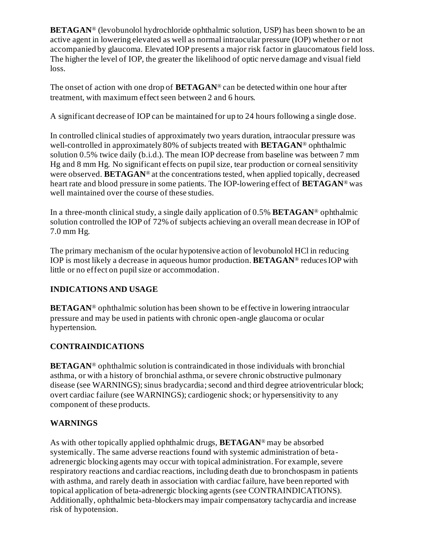**BETAGAN**<sup>®</sup> (levobunolol hydrochloride ophthalmic solution, USP) has been shown to be an active agent in lowering elevated as well as normal intraocular pressure (IOP) whether or not accompanied by glaucoma. Elevated IOP presents a major risk factor in glaucomatous field loss. The higher the level of IOP, the greater the likelihood of optic nerve damage and visual field loss.

The onset of action with one drop of **BETAGAN**® can be detected within one hour after treatment, with maximum effect seen between 2 and 6 hours.

A significant decrease of IOP can be maintained for up to 24 hours following a single dose.

In controlled clinical studies of approximately two years duration, intraocular pressure was well-controlled in approximately 80% of subjects treated with **BETAGAN**® ophthalmic solution 0.5% twice daily (b.i.d.). The mean IOP decrease from baseline was between 7 mm Hg and 8 mm Hg. No significant effects on pupil size, tear production or corneal sensitivity were observed. **BETAGAN**® at the concentrations tested, when applied topically, decreased heart rate and blood pressure in some patients. The IOP-lowering effect of **BETAGAN**® was well maintained over the course of these studies.

In a three-month clinical study, a single daily application of 0.5% **BETAGAN**® ophthalmic solution controlled the IOP of 72% of subjects achieving an overall mean decrease in IOP of 7.0 mm Hg.

The primary mechanism of the ocular hypotensive action of levobunolol HCl in reducing IOP is most likely a decrease in aqueous humor production. **BETAGAN**® reduces IOP with little or no effect on pupil size or accommodation.

# **INDICATIONS AND USAGE**

**BETAGAN<sup>®</sup>** ophthalmic solution has been shown to be effective in lowering intraocular pressure and may be used in patients with chronic open-angle glaucoma or ocular hypertension.

# **CONTRAINDICATIONS**

**BETAGAN**® ophthalmic solution is contraindicated in those individuals with bronchial asthma, or with a history of bronchial asthma, or severe chronic obstructive pulmonary disease (see WARNINGS); sinus bradycardia; second and third degree atrioventricular block; overt cardiac failure (see WARNINGS); cardiogenic shock; or hypersensitivity to any component of these products.

# **WARNINGS**

As with other topically applied ophthalmic drugs, **BETAGAN**® may be absorbed systemically. The same adverse reactions found with systemic administration of betaadrenergic blocking agents may occur with topical administration. For example, severe respiratory reactions and cardiac reactions, including death due to bronchospasm in patients with asthma, and rarely death in association with cardiac failure, have been reported with topical application of beta-adrenergic blocking agents (see CONTRAINDICATIONS). Additionally, ophthalmic beta-blockers may impair compensatory tachycardia and increase risk of hypotension.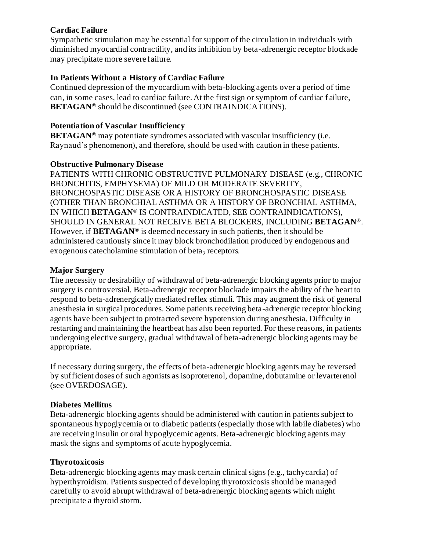#### **Cardiac Failure**

Sympathetic stimulation may be essential for support of the circulation in individuals with diminished myocardial contractility, and its inhibition by beta-adrenergic receptor blockade may precipitate more severe failure.

## **In Patients Without a History of Cardiac Failure**

Continued depression of the myocardium with beta-blocking agents over a period of time can, in some cases, lead to cardiac failure. At the first sign or symptom of cardiac f ailure, **BETAGAN**® should be discontinued (see CONTRAINDICATIONS).

## **Potentiation of Vascular Insufficiency**

**BETAGAN<sup>®</sup>** may potentiate syndromes associated with vascular insufficiency (i.e. Raynaud's phenomenon), and therefore, should be used with caution in these patients.

## **Obstructive Pulmonary Disease**

PATIENTS WITH CHRONIC OBSTRUCTIVE PULMONARY DISEASE (e.g., CHRONIC BRONCHITIS, EMPHYSEMA) OF MILD OR MODERATE SEVERITY, BRONCHOSPASTIC DISEASE OR A HISTORY OF BRONCHOSPASTIC DISEASE (OTHER THAN BRONCHIAL ASTHMA OR A HISTORY OF BRONCHIAL ASTHMA, IN WHICH **BETAGAN**® IS CONTRAINDICATED, SEE CONTRAINDICATIONS), SHOULD IN GENERAL NOT RECEIVE BETA BLOCKERS, INCLUDING **BETAGAN**®. However, if **BETAGAN**® is deemed necessary in such patients, then it should be administered cautiously since it may block bronchodilation produced by endogenous and exogenous catecholamine stimulation of beta<sub>2</sub> receptors.

## **Major Surgery**

The necessity or desirability of withdrawal of beta-adrenergic blocking agents prior to major surgery is controversial. Beta-adrenergic receptor blockade impairs the ability of the heart to respond to beta-adrenergically mediated reflex stimuli. This may augment the risk of general anesthesia in surgical procedures. Some patients receiving beta-adrenergic receptor blocking agents have been subject to protracted severe hypotension during anesthesia. Difficulty in restarting and maintaining the heartbeat has also been reported. For these reasons, in patients undergoing elective surgery, gradual withdrawal of beta-adrenergic blocking agents may be appropriate.

If necessary during surgery, the effects of beta-adrenergic blocking agents may be reversed by sufficient doses of such agonists as isoproterenol, dopamine, dobutamine or levarterenol (see OVERDOSAGE).

# **Diabetes Mellitus**

Beta-adrenergic blocking agents should be administered with caution in patients subject to spontaneous hypoglycemia or to diabetic patients (especially those with labile diabetes) who are receiving insulin or oral hypoglycemic agents. Beta-adrenergic blocking agents may mask the signs and symptoms of acute hypoglycemia.

# **Thyrotoxicosis**

Beta-adrenergic blocking agents may mask certain clinical signs (e.g., tachycardia) of hyperthyroidism. Patients suspected of developing thyrotoxicosis should be managed carefully to avoid abrupt withdrawal of beta-adrenergic blocking agents which might precipitate a thyroid storm.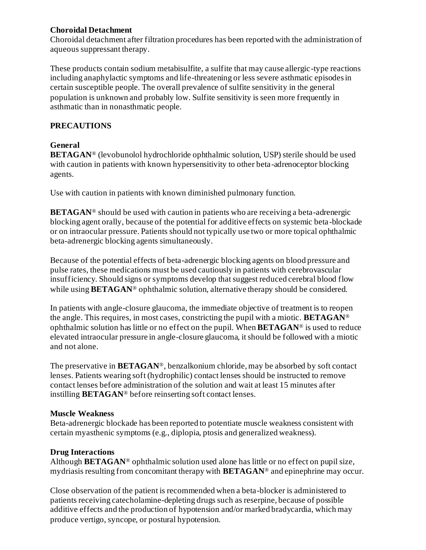#### **Choroidal Detachment**

Choroidal detachment after filtration procedures has been reported with the administration of aqueous suppressant therapy.

These products contain sodium metabisulfite, a sulfite that may cause allergic-type reactions including anaphylactic symptoms and life-threatening or less severe asthmatic episodes in certain susceptible people. The overall prevalence of sulfite sensitivity in the general population is unknown and probably low. Sulfite sensitivity is seen more frequently in asthmatic than in nonasthmatic people.

# **PRECAUTIONS**

# **General**

**BETAGAN**® (levobunolol hydrochloride ophthalmic solution, USP) sterile should be used with caution in patients with known hypersensitivity to other beta-adrenoceptor blocking agents.

Use with caution in patients with known diminished pulmonary function.

**BETAGAN**<sup>®</sup> should be used with caution in patients who are receiving a beta-adrenergic blocking agent orally, because of the potential for additive effects on systemic beta-blockade or on intraocular pressure. Patients should not typically use two or more topical ophthalmic beta-adrenergic blocking agents simultaneously.

Because of the potential effects of beta-adrenergic blocking agents on blood pressure and pulse rates, these medications must be used cautiously in patients with cerebrovascular insufficiency. Should signs or symptoms develop that suggest reduced cerebral blood flow while using **BETAGAN**<sup>®</sup> ophthalmic solution, alternative therapy should be considered.

In patients with angle-closure glaucoma, the immediate objective of treatment is to reopen the angle. This requires, in most cases, constricting the pupil with a miotic. **BETAGAN**® ophthalmic solution has little or no effect on the pupil. When **BETAGAN**® is used to reduce elevated intraocular pressure in angle-closure glaucoma, it should be followed with a miotic and not alone.

The preservative in **BETAGAN**®, benzalkonium chloride, may be absorbed by soft contact lenses. Patients wearing soft (hydrophilic) contact lenses should be instructed to remove contact lenses before administration of the solution and wait at least 15 minutes after instilling **BETAGAN**® before reinserting soft contact lenses.

#### **Muscle Weakness**

Beta-adrenergic blockade has been reported to potentiate muscle weakness consistent with certain myasthenic symptoms (e.g., diplopia, ptosis and generalized weakness).

# **Drug Interactions**

Although **BETAGAN**® ophthalmic solution used alone has little or no effect on pupil size, mydriasis resulting from concomitant therapy with **BETAGAN**® and epinephrine may occur.

Close observation of the patient is recommended when a beta-blocker is administered to patients receiving catecholamine-depleting drugs such as reserpine, because of possible additive effects and the production of hypotension and/or marked bradycardia, which may produce vertigo, syncope, or postural hypotension.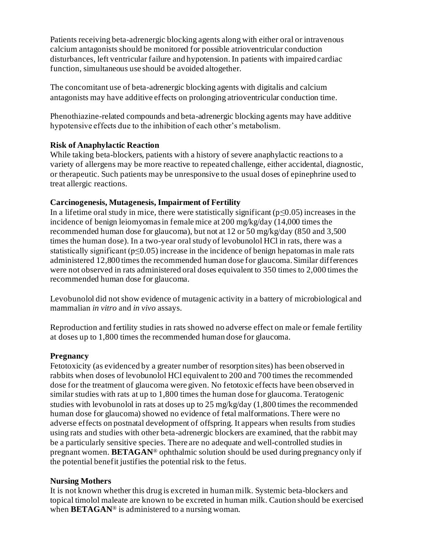Patients receiving beta-adrenergic blocking agents along with either oral or intravenous calcium antagonists should be monitored for possible atrioventricular conduction disturbances, left ventricular failure and hypotension. In patients with impaired cardiac function, simultaneous use should be avoided altogether.

The concomitant use of beta-adrenergic blocking agents with digitalis and calcium antagonists may have additive effects on prolonging atrioventricular conduction time.

Phenothiazine-related compounds and beta-adrenergic blocking agents may have additive hypotensive effects due to the inhibition of each other's metabolism.

#### **Risk of Anaphylactic Reaction**

While taking beta-blockers, patients with a history of severe anaphylactic reactions to a variety of allergens may be more reactive to repeated challenge, either accidental, diagnostic, or therapeutic. Such patients may be unresponsive to the usual doses of epinephrine used to treat allergic reactions.

#### **Carcinogenesis, Mutagenesis, Impairment of Fertility**

In a lifetime oral study in mice, there were statistically significant ( $p \le 0.05$ ) increases in the incidence of benign leiomyomas in female mice at 200 mg/kg/day (14,000 times the recommended human dose for glaucoma), but not at 12 or 50 mg/kg/day (850 and 3,500 times the human dose). In a two-year oral study of levobunolol HCl in rats, there was a statistically significant ( $p \le 0.05$ ) increase in the incidence of benign hepatomas in male rats administered 12,800 times the recommended human dose for glaucoma. Similar differences were not observed in rats administered oral doses equivalent to 350 times to 2,000 times the recommended human dose for glaucoma.

Levobunolol did not show evidence of mutagenic activity in a battery of microbiological and mammalian *in vitro* and *in vivo* assays.

Reproduction and fertility studies in rats showed no adverse effect on male or female fertility at doses up to 1,800 times the recommended human dose for glaucoma.

#### **Pregnancy**

Fetotoxicity (as evidenced by a greater number of resorption sites) has been observed in rabbits when doses of levobunolol HCl equivalent to 200 and 700 times the recommended dose for the treatment of glaucoma were given. No fetotoxic effects have been observed in similar studies with rats at up to 1,800 times the human dose for glaucoma. Teratogenic studies with levobunolol in rats at doses up to 25 mg/kg/day (1,800 times the recommended human dose for glaucoma) showed no evidence of fetal malformations. There were no adverse effects on postnatal development of offspring. It appears when results from studies using rats and studies with other beta-adrenergic blockers are examined, that the rabbit may be a particularly sensitive species. There are no adequate and well-controlled studies in pregnant women. **BETAGAN**® ophthalmic solution should be used during pregnancy only if the potential benefit justifies the potential risk to the fetus.

#### **Nursing Mothers**

It is not known whether this drug is excreted in human milk. Systemic beta-blockers and topical timolol maleate are known to be excreted in human milk. Caution should be exercised when **BETAGAN**® is administered to a nursing woman.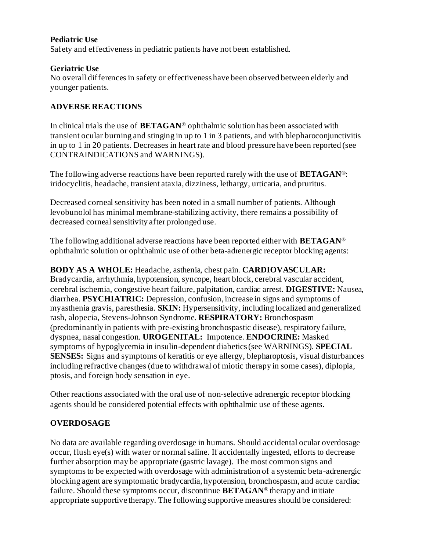#### **Pediatric Use**

Safety and effectiveness in pediatric patients have not been established.

#### **Geriatric Use**

No overall differences in safety or effectiveness have been observed between elderly and younger patients.

#### **ADVERSE REACTIONS**

In clinical trials the use of **BETAGAN**® ophthalmic solution has been associated with transient ocular burning and stinging in up to 1 in 3 patients, and with blepharoconjunctivitis in up to 1 in 20 patients. Decreases in heart rate and blood pressure have been reported (see CONTRAINDICATIONS and WARNINGS).

The following adverse reactions have been reported rarely with the use of **BETAGAN**®: iridocyclitis, headache, transient ataxia, dizziness, lethargy, urticaria, and pruritus.

Decreased corneal sensitivity has been noted in a small number of patients. Although levobunolol has minimal membrane-stabilizing activity, there remains a possibility of decreased corneal sensitivity after prolonged use.

The following additional adverse reactions have been reported either with **BETAGAN**® ophthalmic solution or ophthalmic use of other beta-adrenergic receptor blocking agents:

**BODY AS A WHOLE:** Headache, asthenia, chest pain. **CARDIOVASCULAR:** Bradycardia, arrhythmia, hypotension, syncope, heart block, cerebral vascular accident, cerebral ischemia, congestive heart failure, palpitation, cardiac arrest. **DIGESTIVE:** Nausea, diarrhea. **PSYCHIATRIC:** Depression, confusion, increase in signs and symptoms of myasthenia gravis, paresthesia. **SKIN:** Hypersensitivity, including localized and generalized rash, alopecia, Stevens-Johnson Syndrome. **RESPIRATORY:** Bronchospasm (predominantly in patients with pre-existing bronchospastic disease), respiratory failure, dyspnea, nasal congestion. **UROGENITAL:** Impotence. **ENDOCRINE:** Masked symptoms of hypoglycemia in insulin-dependent diabetics (see WARNINGS). **SPECIAL SENSES:** Signs and symptoms of keratitis or eye allergy, blepharoptosis, visual disturbances including refractive changes (due to withdrawal of miotic therapy in some cases), diplopia, ptosis, and foreign body sensation in eye.

Other reactions associated with the oral use of non-selective adrenergic receptor blocking agents should be considered potential effects with ophthalmic use of these agents.

#### **OVERDOSAGE**

No data are available regarding overdosage in humans. Should accidental ocular overdosage occur, flush eye(s) with water or normal saline. If accidentally ingested, efforts to decrease further absorption may be appropriate (gastric lavage). The most common signs and symptoms to be expected with overdosage with administration of a systemic beta-adrenergic blocking agent are symptomatic bradycardia, hypotension, bronchospasm, and acute cardiac failure. Should these symptoms occur, discontinue **BETAGAN**® therapy and initiate appropriate supportive therapy. The following supportive measures should be considered: